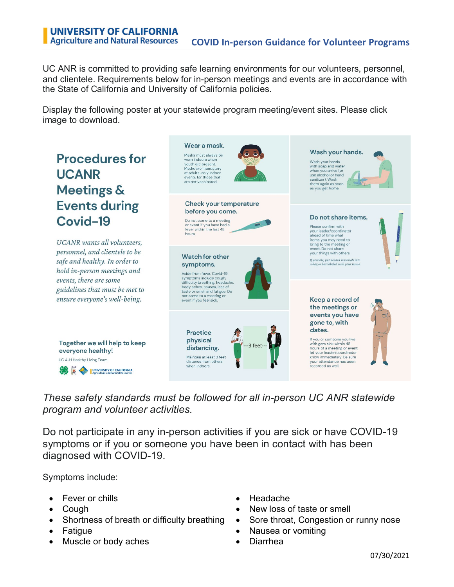UC ANR is committed to providing safe learning environments for our volunteers, personnel, and clientele. Requirements below for in-person meetings and events are in accordance with the State of California and University of California policies.

Display the following poster at your statewide program meeting/event sites. Please click image to download.



## *These safety standards must be followed for all in-person UC ANR statewide program and volunteer activities.*

Do not participate in any in-person activities if you are sick or have COVID-19 symptoms or if you or someone you have been in contact with has been diagnosed with COVID-19.

Symptoms include:

- Fever or chills Headache
- 
- 
- 
- Muscle or body aches **•** Diarrhea
- 
- Cough New loss of taste or smell
- Shortness of breath or difficulty breathing Sore throat, Congestion or runny nose
- Fatigue Nausea or vomiting
	-